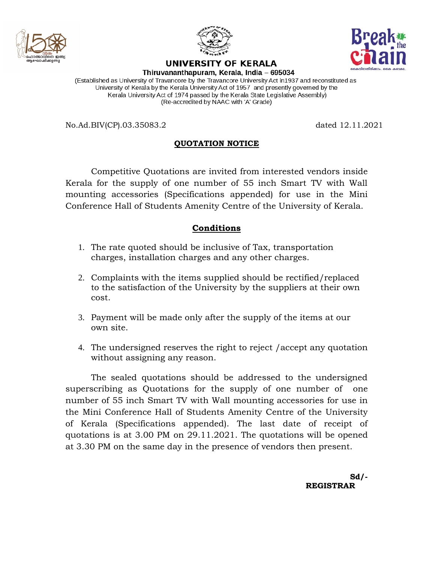



UNIVERSITY OF KERALA



Thiruvananthapuram, Kerala, India - 695034

(Established as University of Travancore by the Travancore University Act in1937 and reconstituted as University of Kerala by the Kerala University Act of 1957 and presently governed by the Kerala University Act of 1974 passed by the Kerala State Legislative Assembly) (Re-accredited by NAAC with 'A' Grade)

No.Ad.BIV(CP).03.35083.2 dated 12.11.2021

## **QUOTATION NOTICE**

Competitive Quotations are invited from interested vendors inside Kerala for the supply of one number of 55 inch Smart TV with Wall mounting accessories (Specifications appended) for use in the Mini Conference Hall of Students Amenity Centre of the University of Kerala.

## **Conditions**

- 1. The rate quoted should be inclusive of Tax, transportation charges, installation charges and any other charges.
- 2. Complaints with the items supplied should be rectified/replaced to the satisfaction of the University by the suppliers at their own cost.
- 3. Payment will be made only after the supply of the items at our own site.
- 4. The undersigned reserves the right to reject /accept any quotation without assigning any reason.

The sealed quotations should be addressed to the undersigned superscribing as Quotations for the supply of one number of one number of 55 inch Smart TV with Wall mounting accessories for use in the Mini Conference Hall of Students Amenity Centre of the University of Kerala (Specifications appended). The last date of receipt of quotations is at 3.00 PM on 29.11.2021. The quotations will be opened at 3.30 PM on the same day in the presence of vendors then present.

> **Sd/-**  $S_d$  **REGISTRAR**